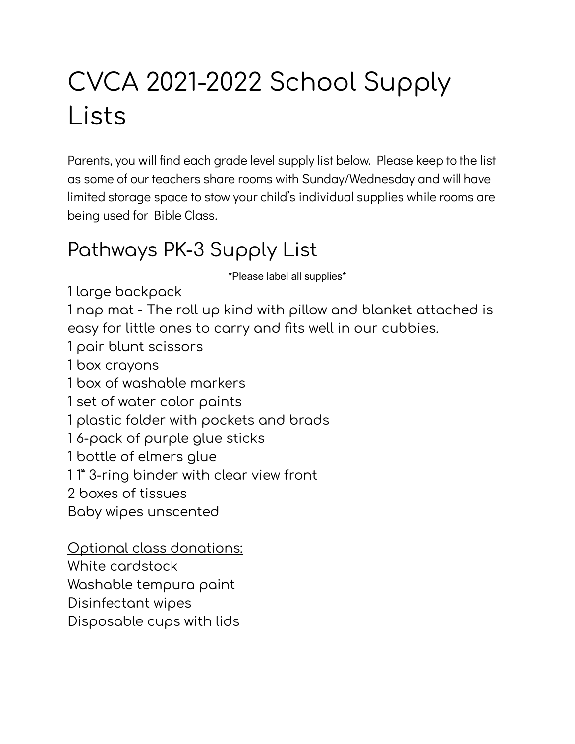# CVCA 2021-2022 School Supply Lists

Parents, you will find each grade level supply list below. Please keep to the list as some of our teachers share rooms with Sunday/Wednesday and will have limited storage space to stow your child's individual supplies while rooms are being used for Bible Class.

### Pathways PK-3 Supply List

\*Please label all supplies\*

1 large backpack

1 nap mat - The roll up kind with pillow and blanket attached is easy for little ones to carry and fits well in our cubbies.

1 pair blunt scissors

1 box crayons

1 box of washable markers

1 set of water color paints

1 plastic folder with pockets and brads

1 6-pack of purple glue sticks

1 bottle of elmers glue

1 1" 3-ring binder with clear view front

2 boxes of tissues

Baby wipes unscented

Optional class donations: White cardstock Washable tempura paint Disinfectant wipes Disposable cups with lids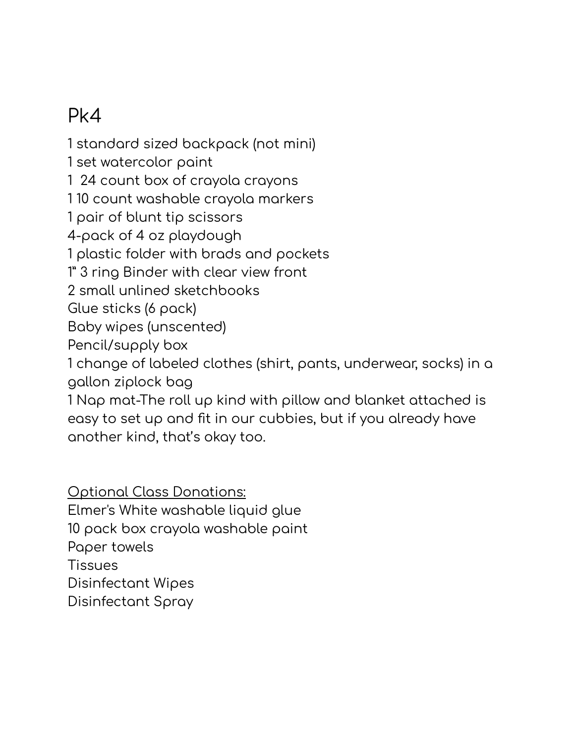# Pk4

1 standard sized backpack (not mini) 1 set watercolor paint 1 24 count box of crayola crayons 1 10 count washable crayola markers 1 pair of blunt tip scissors 4-pack of 4 oz playdough 1 plastic folder with brads and pockets 1" 3 ring Binder with clear view front 2 small unlined sketchbooks Glue sticks (6 pack) Baby wipes (unscented) Pencil/supply box 1 change of labeled clothes (shirt, pants, underwear, socks) in a gallon ziplock bag 1 Nap mat-The roll up kind with pillow and blanket attached is easy to set up and fit in our cubbies, but if you already have another kind, that's okay too.

Optional Class Donations: Elmer's White washable liquid glue 10 pack box crayola washable paint Paper towels Tissues Disinfectant Wipes Disinfectant Spray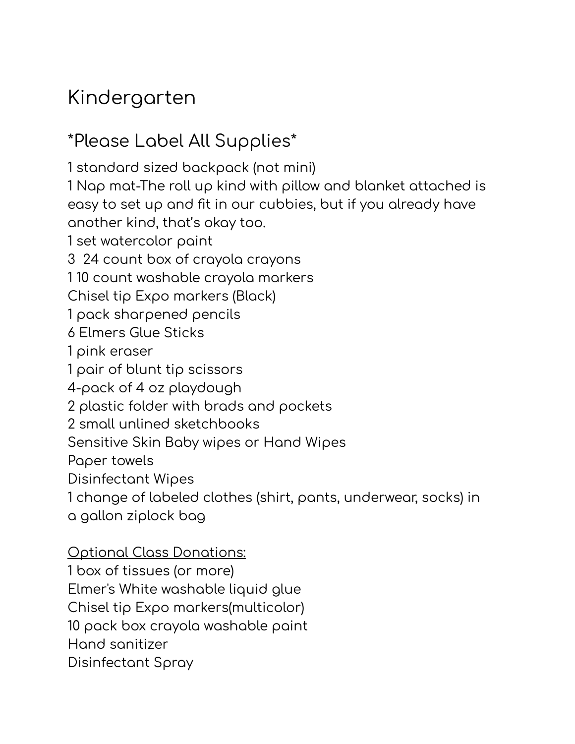### Kindergarten

### \*Please Label All Supplies\*

1 standard sized backpack (not mini) 1 Nap mat-The roll up kind with pillow and blanket attached is easy to set up and fit in our cubbies, but if you already have another kind, that's okay too. 1 set watercolor paint 3 24 count box of crayola crayons 1 10 count washable crayola markers Chisel tip Expo markers (Black) 1 pack sharpened pencils 6 Elmers Glue Sticks 1 pink eraser 1 pair of blunt tip scissors 4-pack of 4 oz playdough 2 plastic folder with brads and pockets 2 small unlined sketchbooks Sensitive Skin Baby wipes or Hand Wipes Paper towels Disinfectant Wipes 1 change of labeled clothes (shirt, pants, underwear, socks) in a gallon ziplock bag

#### Optional Class Donations:

1 box of tissues (or more) Elmer's White washable liquid glue Chisel tip Expo markers(multicolor) 10 pack box crayola washable paint Hand sanitizer Disinfectant Spray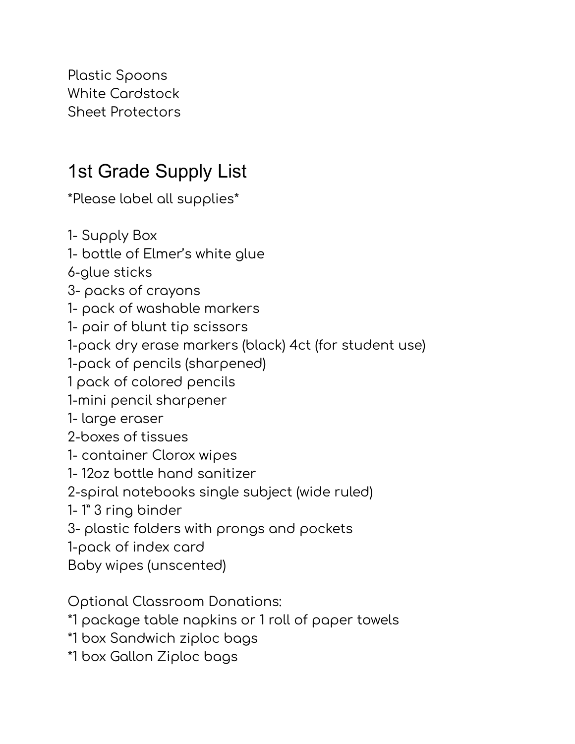Plastic Spoons White Cardstock Sheet Protectors

### 1st Grade Supply List

\*Please label all supplies\*

1- Supply Box

1- bottle of Elmer's white glue

6-glue sticks

3- packs of crayons

1- pack of washable markers

1- pair of blunt tip scissors

1-pack dry erase markers (black) 4ct (for student use)

1-pack of pencils (sharpened)

1 pack of colored pencils

1-mini pencil sharpener

1- large eraser

2-boxes of tissues

1- container Clorox wipes

1- 12oz bottle hand sanitizer

2-spiral notebooks single subject (wide ruled)

1- 1" 3 ring binder

3- plastic folders with prongs and pockets

1-pack of index card

Baby wipes (unscented)

Optional Classroom Donations:

\*1 package table napkins or 1 roll of paper towels

\*1 box Sandwich ziploc bags

\*1 box Gallon Ziploc bags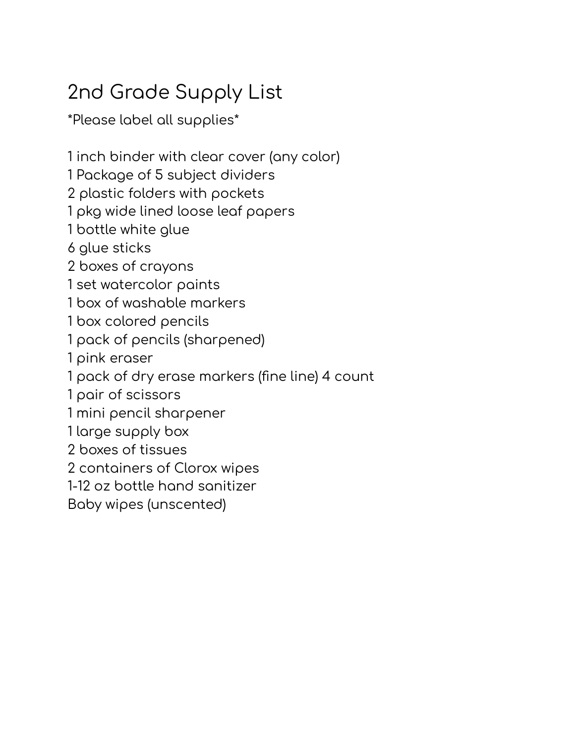# 2nd Grade Supply List

\*Please label all supplies\*

 inch binder with clear cover (any color) Package of 5 subject dividers plastic folders with pockets pkg wide lined loose leaf papers bottle white glue glue sticks boxes of crayons set watercolor paints box of washable markers box colored pencils pack of pencils (sharpened) pink eraser pack of dry erase markers (fine line) 4 count pair of scissors mini pencil sharpener large supply box boxes of tissues containers of Clorox wipes 1-12 oz bottle hand sanitizer Baby wipes (unscented)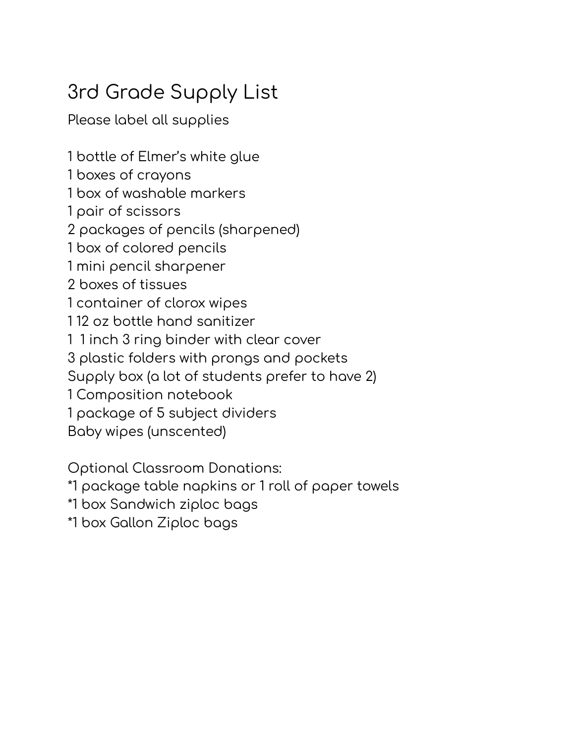# 3rd Grade Supply List

Please label all supplies

bottle of Elmer's white glue

boxes of crayons

box of washable markers

pair of scissors

packages of pencils (sharpened)

box of colored pencils

mini pencil sharpener

boxes of tissues

container of clorox wipes

12 oz bottle hand sanitizer

1 inch 3 ring binder with clear cover

plastic folders with prongs and pockets

Supply box (a lot of students prefer to have 2)

Composition notebook

package of 5 subject dividers

Baby wipes (unscented)

Optional Classroom Donations:

\*1 package table napkins or 1 roll of paper towels

\*1 box Sandwich ziploc bags

\*1 box Gallon Ziploc bags